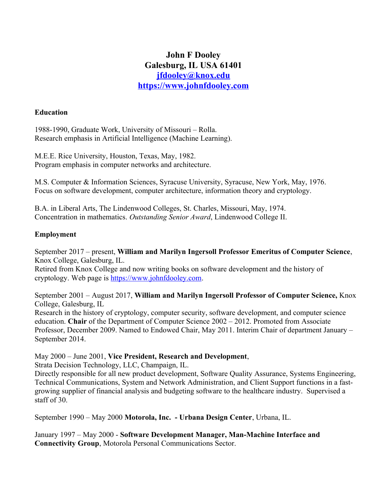# **John F Dooley Galesburg, IL USA 61401 jfdooley@knox.edu [https://www.johnfdooley.com](https://www.johnfdooley.com/)**

#### **Education**

1988-1990, Graduate Work, University of Missouri – Rolla. Research emphasis in Artificial Intelligence (Machine Learning).

M.E.E. Rice University, Houston, Texas, May, 1982. Program emphasis in computer networks and architecture.

M.S. Computer & Information Sciences, Syracuse University, Syracuse, New York, May, 1976. Focus on software development, computer architecture, information theory and cryptology.

B.A. in Liberal Arts, The Lindenwood Colleges, St. Charles, Missouri, May, 1974. Concentration in mathematics. *Outstanding Senior Award*, Lindenwood College II.

## **Employment**

September 2017 – present, **William and Marilyn Ingersoll Professor Emeritus of Computer Science**, Knox College, Galesburg, IL.

Retired from Knox College and now writing books on software development and the history of cryptology. Web page is [https://www.johnfdooley.com](https://www.johnfdooley.com/).

September 2001 – August 2017, **William and Marilyn Ingersoll Professor of Computer Science,** Knox College, Galesburg, IL

Research in the history of cryptology, computer security, software development, and computer science education. **Chair** of the Department of Computer Science 2002 – 2012. Promoted from Associate Professor, December 2009. Named to Endowed Chair, May 2011. Interim Chair of department January – September 2014.

May 2000 – June 2001, **Vice President, Research and Development**,

Strata Decision Technology, LLC, Champaign, IL.

Directly responsible for all new product development, Software Quality Assurance, Systems Engineering, Technical Communications, System and Network Administration, and Client Support functions in a fastgrowing supplier of financial analysis and budgeting software to the healthcare industry. Supervised a staff of 30.

September 1990 – May 2000 **Motorola, Inc. - Urbana Design Center**, Urbana, IL.

January 1997 – May 2000 - **Software Development Manager, Man-Machine Interface and Connectivity Group**, Motorola Personal Communications Sector.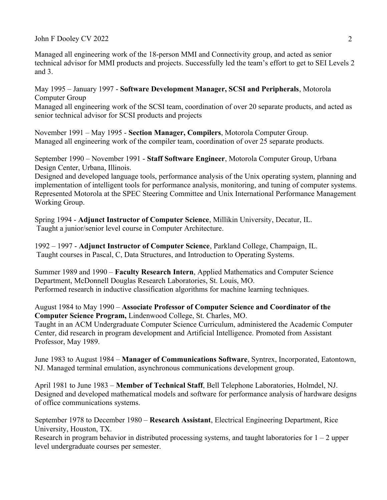Managed all engineering work of the 18-person MMI and Connectivity group, and acted as senior technical advisor for MMI products and projects. Successfully led the team's effort to get to SEI Levels 2 and 3.

May 1995 – January 1997 - **Software Development Manager, SCSI and Peripherals**, Motorola Computer Group Managed all engineering work of the SCSI team, coordination of over 20 separate products, and acted as senior technical advisor for SCSI products and projects

November 1991 – May 1995 - **Section Manager, Compilers**, Motorola Computer Group. Managed all engineering work of the compiler team, coordination of over 25 separate products.

September 1990 – November 1991 - **Staff Software Engineer**, Motorola Computer Group, Urbana Design Center, Urbana, Illinois.

Designed and developed language tools, performance analysis of the Unix operating system, planning and implementation of intelligent tools for performance analysis, monitoring, and tuning of computer systems. Represented Motorola at the SPEC Steering Committee and Unix International Performance Management Working Group.

Spring 1994 - **Adjunct Instructor of Computer Science**, Millikin University, Decatur, IL. Taught a junior/senior level course in Computer Architecture.

1992 – 1997 - **Adjunct Instructor of Computer Science**, Parkland College, Champaign, IL. Taught courses in Pascal, C, Data Structures, and Introduction to Operating Systems.

Summer 1989 and 1990 – **Faculty Research Intern**, Applied Mathematics and Computer Science Department, McDonnell Douglas Research Laboratories, St. Louis, MO. Performed research in inductive classification algorithms for machine learning techniques.

August 1984 to May 1990 – **Associate Professor of Computer Science and Coordinator of the Computer Science Program,** Lindenwood College, St. Charles, MO.

Taught in an ACM Undergraduate Computer Science Curriculum, administered the Academic Computer Center, did research in program development and Artificial Intelligence. Promoted from Assistant Professor, May 1989.

June 1983 to August 1984 – **Manager of Communications Software**, Syntrex, Incorporated, Eatontown, NJ. Managed terminal emulation, asynchronous communications development group.

April 1981 to June 1983 – **Member of Technical Staff**, Bell Telephone Laboratories, Holmdel, NJ. Designed and developed mathematical models and software for performance analysis of hardware designs of office communications systems.

September 1978 to December 1980 – **Research Assistant**, Electrical Engineering Department, Rice University, Houston, TX.

Research in program behavior in distributed processing systems, and taught laboratories for  $1 - 2$  upper level undergraduate courses per semester.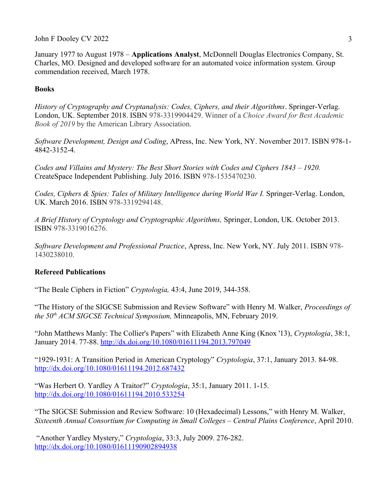January 1977 to August 1978 – **Applications Analyst**, McDonnell Douglas Electronics Company, St. Charles, MO. Designed and developed software for an automated voice information system. Group commendation received, March 1978.

## **Books**

*History of Cryptography and Cryptanalysis: Codes, Ciphers, and their Algorithms*. Springer-Verlag. London, UK. September 2018. ISBN 978-3319904429. Winner of a *Choice Award for Best Academic Book of 2019* by the American Library Association.

*Software Development, Design and Coding*, APress, Inc. New York, NY. November 2017. ISBN 978-1- 4842-3152-4.

*Codes and Villains and Mystery: The Best Short Stories with Codes and Ciphers 1843 – 1920.*  CreateSpace Independent Publishing. July 2016. ISBN 978-1535470230.

*Codes, Ciphers & Spies: Tales of Military Intelligence during World War I.* Springer-Verlag. London, UK. March 2016. ISBN 978-3319294148.

*A Brief History of Cryptology and Cryptographic Algorithms,* Springer, London, UK. October 2013. ISBN 978-3319016276.

*Software Development and Professional Practice*, Apress, Inc. New York, NY. July 2011. ISBN 978- 1430238010.

# **Refereed Publications**

"The Beale Ciphers in Fiction" *Cryptologia,* 43:4, June 2019, 344-358.

"The History of the SIGCSE Submission and Review Software" with Henry M. Walker, *Proceedings of the 50th ACM SIGCSE Technical Symposium,* Minneapolis, MN, February 2019.

"John Matthews Manly: The Collier's Papers" with Elizabeth Anne King (Knox '13), *Cryptologia*, 38:1, January 2014. 77-88.<http://dx.doi.org/10.1080/01611194.2013.797049>

"1929-1931: A Transition Period in American Cryptology" *Cryptologia*, 37:1, January 2013. 84-98. <http://dx.doi.org/10.1080/01611194.2012.687432>

"Was Herbert O. Yardley A Traitor?" *Cryptologia*, 35:1, January 2011. 1-15. <http://dx.doi.org/10.1080/01611194.2010.533254>

"The SIGCSE Submission and Review Software: 10 (Hexadecimal) Lessons," with Henry M. Walker, *Sixteenth Annual Consortium for Computing in Small Colleges – Central Plains Conference*, April 2010.

"Another Yardley Mystery," *Cryptologia*, 33:3, July 2009. 276-282. <http://dx.doi.org/10.1080/01611190902894938>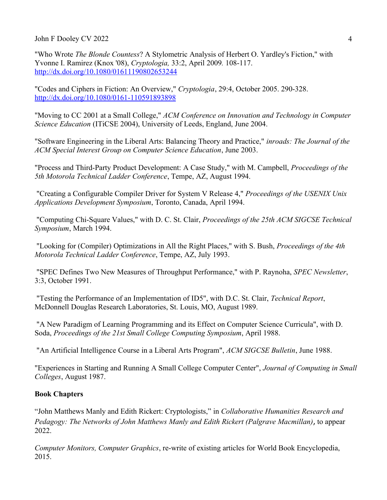"Who Wrote *The Blonde Countess*? A Stylometric Analysis of Herbert O. Yardley's Fiction," with Yvonne I. Ramirez (Knox '08), *Cryptologia,* 33:2, April 2009*.* 108-117. <http://dx.doi.org/10.1080/01611190802653244>

"Codes and Ciphers in Fiction: An Overview," *Cryptologia*, 29:4, October 2005. 290-328. <http://dx.doi.org/10.1080/0161-110591893898>

"Moving to CC 2001 at a Small College," *ACM Conference on Innovation and Technology in Computer Science Education* (ITiCSE 2004), University of Leeds, England, June 2004.

"Software Engineering in the Liberal Arts: Balancing Theory and Practice," *inroads: The Journal of the ACM Special Interest Group on Computer Science Education*, June 2003.

"Process and Third-Party Product Development: A Case Study," with M. Campbell, *Proceedings of the 5th Motorola Technical Ladder Conference*, Tempe, AZ, August 1994.

 "Creating a Configurable Compiler Driver for System V Release 4," *Proceedings of the USENIX Unix Applications Development Symposium*, Toronto, Canada, April 1994.

 "Computing Chi-Square Values," with D. C. St. Clair, *Proceedings of the 25th ACM SIGCSE Technical Symposium*, March 1994.

 "Looking for (Compiler) Optimizations in All the Right Places," with S. Bush, *Proceedings of the 4th Motorola Technical Ladder Conference*, Tempe, AZ, July 1993.

 "SPEC Defines Two New Measures of Throughput Performance," with P. Raynoha, *SPEC Newsletter*, 3:3, October 1991.

 "Testing the Performance of an Implementation of ID5", with D.C. St. Clair, *Technical Report*, McDonnell Douglas Research Laboratories, St. Louis, MO, August 1989.

 "A New Paradigm of Learning Programming and its Effect on Computer Science Curricula", with D. Soda, *Proceedings of the 21st Small College Computing Symposium*, April 1988.

"An Artificial Intelligence Course in a Liberal Arts Program", *ACM SIGCSE Bulletin*, June 1988.

"Experiences in Starting and Running A Small College Computer Center", *Journal of Computing in Small Colleges*, August 1987.

# **Book Chapters**

"John Matthews Manly and Edith Rickert: Cryptologists," in *Collaborative Humanities Research and Pedagogy: The Networks of John Matthews Manly and Edith Rickert (Palgrave Macmillan)*, to appear 2022.

*Computer Monitors, Computer Graphics*, re-write of existing articles for World Book Encyclopedia, 2015.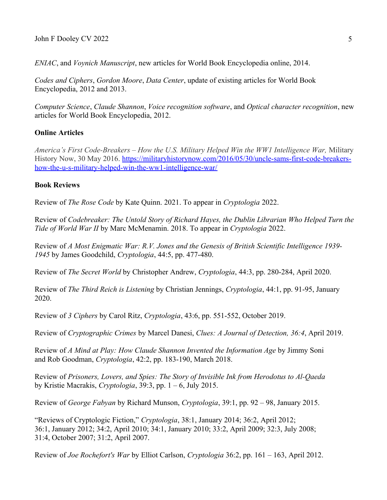*ENIAC*, and *Voynich Manuscript*, new articles for World Book Encyclopedia online, 2014.

*Codes and Ciphers*, *Gordon Moore*, *Data Center*, update of existing articles for World Book Encyclopedia, 2012 and 2013.

*Computer Science*, *Claude Shannon*, *Voice recognition software*, and *Optical character recognition*, new articles for World Book Encyclopedia, 2012.

## **Online Articles**

*America's First Code-Breakers – How the U.S. Military Helped Win the WW1 Intelligence War,* Military History Now, 30 May 2016. [https://militaryhistorynow.com/2016/05/30/uncle-sams-first-code-breakers](https://militaryhistorynow.com/2016/05/30/uncle-sams-first-code-breakers-how-the-u-s-military-helped-win-the-ww1-intelligence-war/)[how-the-u-s-military-helped-win-the-ww1-intelligence-war/](https://militaryhistorynow.com/2016/05/30/uncle-sams-first-code-breakers-how-the-u-s-military-helped-win-the-ww1-intelligence-war/)

#### **Book Reviews**

Review of *The Rose Code* by Kate Quinn. 2021. To appear in *Cryptologia* 2022.

Review of *Codebreaker: The Untold Story of Richard Hayes, the Dublin Librarian Who Helped Turn the Tide of World War II* by Marc McMenamin. 2018. To appear in *Cryptologia* 2022.

Review of *A Most Enigmatic War: R.V. Jones and the Genesis of British Scientific Intelligence 1939- 1945* by James Goodchild, *Cryptologia*, 44:5, pp. 477-480.

Review of *The Secret World* by Christopher Andrew, *Cryptologia*, 44:3, pp. 280-284, April 2020.

Review of *The Third Reich is Listening* by Christian Jennings, *Cryptologia*, 44:1, pp. 91-95, January 2020.

Review of *3 Ciphers* by Carol Ritz, *Cryptologia*, 43:6, pp. 551-552, October 2019.

Review of *Cryptographic Crimes* by Marcel Danesi, *Clues: A Journal of Detection, 36:4*, April 2019.

Review of *A Mind at Play: How Claude Shannon Invented the Information Age* by Jimmy Soni and Rob Goodman, *Cryptologia*, 42:2, pp. 183-190, March 2018.

Review of *Prisoners, Lovers, and Spies: The Story of Invisible Ink from Herodotus to Al-Qaeda* by Kristie Macrakis, *Cryptologia*, 39:3, pp. 1 – 6, July 2015.

Review of *George Fabyan* by Richard Munson, *Cryptologia*, 39:1, pp. 92 – 98, January 2015.

"Reviews of Cryptologic Fiction," *Cryptologia*, 38:1, January 2014; 36:2, April 2012; 36:1, January 2012; 34:2, April 2010; 34:1, January 2010; 33:2, April 2009; 32:3, July 2008; 31:4, October 2007; 31:2, April 2007.

Review of *Joe Rochefort's War* by Elliot Carlson, *Cryptologia* 36:2, pp. 161 – 163, April 2012.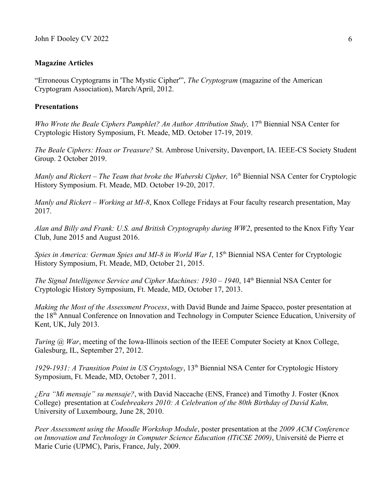#### **Magazine Articles**

"Erroneous Cryptograms in 'The Mystic Cipher'", *The Cryptogram* (magazine of the American Cryptogram Association), March/April, 2012.

#### **Presentations**

*Who Wrote the Beale Ciphers Pamphlet? An Author Attribution Study, 17th Biennial NSA Center for* Cryptologic History Symposium, Ft. Meade, MD. October 17-19, 2019.

*The Beale Ciphers: Hoax or Treasure?* St. Ambrose University, Davenport, IA. IEEE-CS Society Student Group. 2 October 2019.

*Manly and Rickert – The Team that broke the Waberski Cipher, 16th Biennial NSA Center for Cryptologic* History Symposium. Ft. Meade, MD. October 19-20, 2017.

*Manly and Rickert – Working at MI-8*, Knox College Fridays at Four faculty research presentation, May 2017.

*Alan and Billy and Frank: U.S. and British Cryptography during WW2*, presented to the Knox Fifty Year Club, June 2015 and August 2016.

*Spies in America: German Spies and MI-8 in World War I,* 15<sup>th</sup> Biennial NSA Center for Cryptologic History Symposium, Ft. Meade, MD, October 21, 2015.

*The Signal Intelligence Service and Cipher Machines: 1930 – 1940*, 14<sup>th</sup> Biennial NSA Center for Cryptologic History Symposium, Ft. Meade, MD, October 17, 2013.

*Making the Most of the Assessment Process*, with David Bunde and Jaime Spacco, poster presentation at the 18th Annual Conference on Innovation and Technology in Computer Science Education, University of Kent, UK, July 2013.

*Turing @ War*, meeting of the Iowa-Illinois section of the IEEE Computer Society at Knox College, Galesburg, IL, September 27, 2012.

1929-1931: A Transition Point in US Cryptology, 13<sup>th</sup> Biennial NSA Center for Cryptologic History Symposium, Ft. Meade, MD, October 7, 2011.

*¿Era "Mi mensaje" su mensaje?*, with David Naccache (ENS, France) and Timothy J. Foster (Knox College) presentation at *Codebreakers 2010: A Celebration of the 80th Birthday of David Kahn,*  University of Luxembourg, June 28, 2010.

*Peer Assessment using the Moodle Workshop Module*, poster presentation at the *2009 ACM Conference on Innovation and Technology in Computer Science Education (ITiCSE 2009)*, Université de Pierre et Marie Curie (UPMC), Paris, France, July, 2009.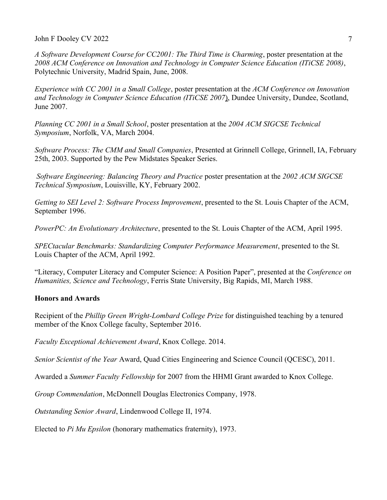*A Software Development Course for CC2001: The Third Time is Charming*, poster presentation at the *2008 ACM Conference on Innovation and Technology in Computer Science Education (ITiCSE 2008)*, Polytechnic University, Madrid Spain, June, 2008.

*Experience with CC 2001 in a Small College*, poster presentation at the *ACM Conference on Innovation and Technology in Computer Science Education (ITiCSE 2007*), Dundee University, Dundee, Scotland, June 2007.

*Planning CC 2001 in a Small School*, poster presentation at the *2004 ACM SIGCSE Technical Symposium*, Norfolk, VA, March 2004.

*Software Process: The CMM and Small Companies*, Presented at Grinnell College, Grinnell, IA, February 25th, 2003. Supported by the Pew Midstates Speaker Series.

*Software Engineering: Balancing Theory and Practice* poster presentation at the *2002 ACM SIGCSE Technical Symposium*, Louisville, KY, February 2002.

*Getting to SEI Level 2: Software Process Improvement*, presented to the St. Louis Chapter of the ACM, September 1996.

*PowerPC: An Evolutionary Architecture*, presented to the St. Louis Chapter of the ACM, April 1995.

*SPECtacular Benchmarks: Standardizing Computer Performance Measurement*, presented to the St. Louis Chapter of the ACM, April 1992.

"Literacy, Computer Literacy and Computer Science: A Position Paper", presented at the *Conference on Humanities, Science and Technology*, Ferris State University, Big Rapids, MI, March 1988.

## **Honors and Awards**

Recipient of the *Phillip Green Wright-Lombard College Prize* for distinguished teaching by a tenured member of the Knox College faculty, September 2016.

*Faculty Exceptional Achievement Award*, Knox College. 2014.

*Senior Scientist of the Year* Award, Quad Cities Engineering and Science Council (QCESC), 2011.

Awarded a *Summer Faculty Fellowship* for 2007 from the HHMI Grant awarded to Knox College.

*Group Commendation*, McDonnell Douglas Electronics Company, 1978.

*Outstanding Senior Award*, Lindenwood College II, 1974.

Elected to *Pi Mu Epsilon* (honorary mathematics fraternity), 1973.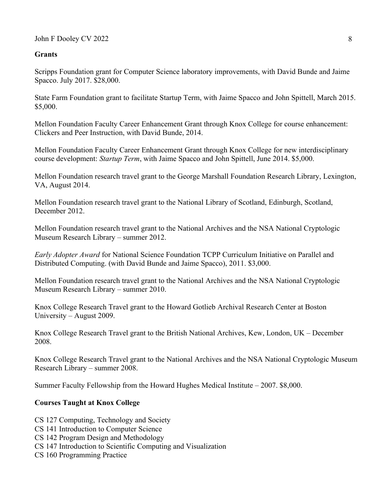### **Grants**

Scripps Foundation grant for Computer Science laboratory improvements, with David Bunde and Jaime Spacco. July 2017. \$28,000.

State Farm Foundation grant to facilitate Startup Term, with Jaime Spacco and John Spittell, March 2015. \$5,000.

Mellon Foundation Faculty Career Enhancement Grant through Knox College for course enhancement: Clickers and Peer Instruction, with David Bunde, 2014.

Mellon Foundation Faculty Career Enhancement Grant through Knox College for new interdisciplinary course development: *Startup Term*, with Jaime Spacco and John Spittell, June 2014. \$5,000.

Mellon Foundation research travel grant to the George Marshall Foundation Research Library, Lexington, VA, August 2014.

Mellon Foundation research travel grant to the National Library of Scotland, Edinburgh, Scotland, December 2012.

Mellon Foundation research travel grant to the National Archives and the NSA National Cryptologic Museum Research Library – summer 2012.

*Early Adopter Award* for National Science Foundation TCPP Curriculum Initiative on Parallel and Distributed Computing. (with David Bunde and Jaime Spacco), 2011. \$3,000.

Mellon Foundation research travel grant to the National Archives and the NSA National Cryptologic Museum Research Library – summer 2010.

Knox College Research Travel grant to the Howard Gotlieb Archival Research Center at Boston University – August 2009.

Knox College Research Travel grant to the British National Archives, Kew, London, UK – December 2008.

Knox College Research Travel grant to the National Archives and the NSA National Cryptologic Museum Research Library – summer 2008.

Summer Faculty Fellowship from the Howard Hughes Medical Institute – 2007. \$8,000.

## **Courses Taught at Knox College**

CS 127 Computing, Technology and Society

- CS 141 Introduction to Computer Science
- CS 142 Program Design and Methodology
- CS 147 Introduction to Scientific Computing and Visualization
- CS 160 Programming Practice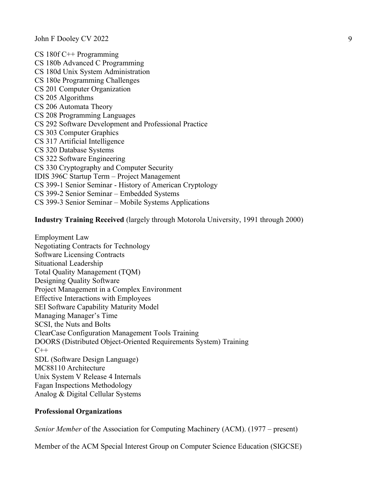CS 180f C++ Programming CS 180b Advanced C Programming CS 180d Unix System Administration CS 180e Programming Challenges CS 201 Computer Organization CS 205 Algorithms CS 206 Automata Theory CS 208 Programming Languages CS 292 Software Development and Professional Practice CS 303 Computer Graphics CS 317 Artificial Intelligence CS 320 Database Systems CS 322 Software Engineering CS 330 Cryptography and Computer Security IDIS 396C Startup Term – Project Management CS 399-1 Senior Seminar - History of American Cryptology CS 399-2 Senior Seminar – Embedded Systems CS 399-3 Senior Seminar – Mobile Systems Applications

**Industry Training Received** (largely through Motorola University, 1991 through 2000)

Employment Law Negotiating Contracts for Technology Software Licensing Contracts Situational Leadership Total Quality Management (TQM) Designing Quality Software Project Management in a Complex Environment Effective Interactions with Employees SEI Software Capability Maturity Model Managing Manager's Time SCSI, the Nuts and Bolts ClearCase Configuration Management Tools Training DOORS (Distributed Object-Oriented Requirements System) Training  $C++$ SDL (Software Design Language) MC88110 Architecture Unix System V Release 4 Internals Fagan Inspections Methodology Analog & Digital Cellular Systems

#### **Professional Organizations**

*Senior Member* of the Association for Computing Machinery (ACM). (1977 – present)

Member of the ACM Special Interest Group on Computer Science Education (SIGCSE)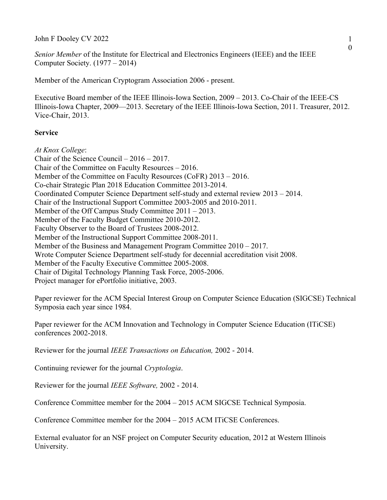John F Dooley CV 2022

*Senior Member* of the Institute for Electrical and Electronics Engineers (IEEE) and the IEEE Computer Society. (1977 – 2014)

Member of the American Cryptogram Association 2006 - present.

Executive Board member of the IEEE Illinois-Iowa Section, 2009 – 2013. Co-Chair of the IEEE-CS Illinois-Iowa Chapter, 2009—2013. Secretary of the IEEE Illinois-Iowa Section, 2011. Treasurer, 2012. Vice-Chair, 2013.

#### **Service**

*At Knox College*: Chair of the Science Council – 2016 – 2017. Chair of the Committee on Faculty Resources – 2016. Member of the Committee on Faculty Resources (CoFR) 2013 – 2016. Co-chair Strategic Plan 2018 Education Committee 2013-2014. Coordinated Computer Science Department self-study and external review 2013 – 2014. Chair of the Instructional Support Committee 2003-2005 and 2010-2011. Member of the Off Campus Study Committee 2011 – 2013. Member of the Faculty Budget Committee 2010-2012. Faculty Observer to the Board of Trustees 2008-2012. Member of the Instructional Support Committee 2008-2011. Member of the Business and Management Program Committee 2010 – 2017. Wrote Computer Science Department self-study for decennial accreditation visit 2008. Member of the Faculty Executive Committee 2005-2008. Chair of Digital Technology Planning Task Force, 2005-2006. Project manager for ePortfolio initiative, 2003.

Paper reviewer for the ACM Special Interest Group on Computer Science Education (SIGCSE) Technical Symposia each year since 1984.

Paper reviewer for the ACM Innovation and Technology in Computer Science Education (ITiCSE) conferences 2002-2018.

Reviewer for the journal *IEEE Transactions on Education,* 2002 - 2014.

Continuing reviewer for the journal *Cryptologia*.

Reviewer for the journal *IEEE Software,* 2002 - 2014.

Conference Committee member for the 2004 – 2015 ACM SIGCSE Technical Symposia.

Conference Committee member for the 2004 – 2015 ACM ITiCSE Conferences.

External evaluator for an NSF project on Computer Security education, 2012 at Western Illinois University.